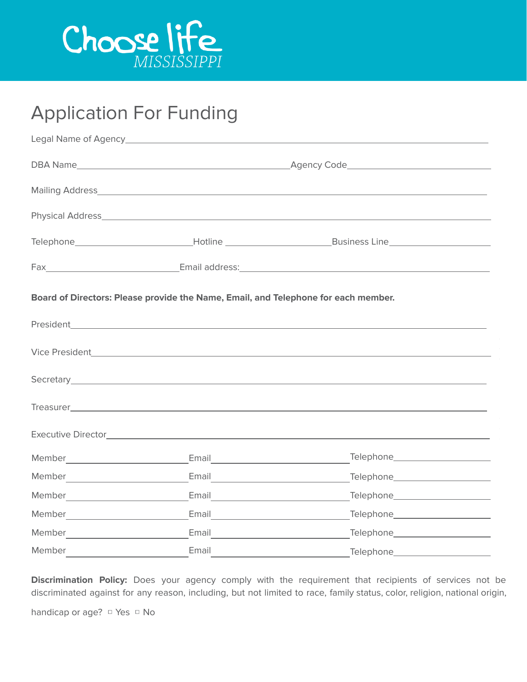

## Application For Funding

|                                                                                    |                                                                                                                       | Telephone_________________________________Hotline ______________________________Business Line_________________                                                                                                                       |  |  |  |  |
|------------------------------------------------------------------------------------|-----------------------------------------------------------------------------------------------------------------------|--------------------------------------------------------------------------------------------------------------------------------------------------------------------------------------------------------------------------------------|--|--|--|--|
|                                                                                    |                                                                                                                       |                                                                                                                                                                                                                                      |  |  |  |  |
| Board of Directors: Please provide the Name, Email, and Telephone for each member. |                                                                                                                       |                                                                                                                                                                                                                                      |  |  |  |  |
|                                                                                    |                                                                                                                       | President <b>Executive Contract Contract Contract Contract Contract Contract Contract Contract Contract Contract Contract Contract Contract Contract Contract Contract Contract Contract Contract Contract Contract Contract Con</b> |  |  |  |  |
|                                                                                    |                                                                                                                       |                                                                                                                                                                                                                                      |  |  |  |  |
|                                                                                    |                                                                                                                       | Secretary experience and the contract of the contract of the contract of the contract of the contract of the contract of the contract of the contract of the contract of the contract of the contract of the contract of the c       |  |  |  |  |
|                                                                                    |                                                                                                                       |                                                                                                                                                                                                                                      |  |  |  |  |
|                                                                                    |                                                                                                                       |                                                                                                                                                                                                                                      |  |  |  |  |
|                                                                                    | Email <u>________</u> ___________________                                                                             | Telephone ______________________                                                                                                                                                                                                     |  |  |  |  |
|                                                                                    | Email <b>Exercise Service Service Service Service Service Service Service Service Service Service Service Service</b> | Telephone_______________________                                                                                                                                                                                                     |  |  |  |  |
|                                                                                    |                                                                                                                       | Telephone entitled and the Telephone                                                                                                                                                                                                 |  |  |  |  |
|                                                                                    |                                                                                                                       | Telephone_______________________                                                                                                                                                                                                     |  |  |  |  |
|                                                                                    | Email <u>_______________________</u>                                                                                  | Telephone________________________                                                                                                                                                                                                    |  |  |  |  |
| Member                                                                             | Email                                                                                                                 | Telephone_______________________                                                                                                                                                                                                     |  |  |  |  |

**Discrimination Policy:** Does your agency comply with the requirement that recipients of services not be discriminated against for any reason, including, but not limited to race, family status, color, religion, national origin,

handicap or age? □ Yes □ No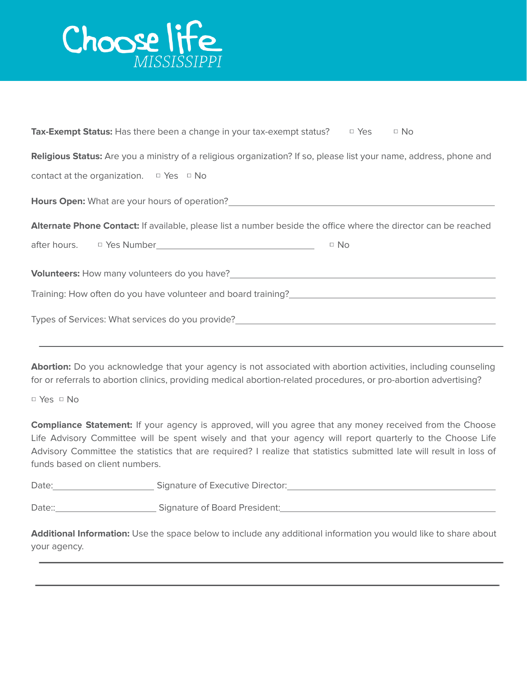

| <b>Tax-Exempt Status:</b> Has there been a change in your tax-exempt status? $\Box$ Yes $\Box$ No                              |  |  |  |  |  |  |
|--------------------------------------------------------------------------------------------------------------------------------|--|--|--|--|--|--|
| <b>Religious Status:</b> Are you a ministry of a religious organization? If so, please list your name, address, phone and      |  |  |  |  |  |  |
| contact at the organization. $\Box$ Yes $\Box$ No                                                                              |  |  |  |  |  |  |
|                                                                                                                                |  |  |  |  |  |  |
| Alternate Phone Contact: If available, please list a number beside the office where the director can be reached                |  |  |  |  |  |  |
| $\Box$ No                                                                                                                      |  |  |  |  |  |  |
|                                                                                                                                |  |  |  |  |  |  |
| <b>Volunteers:</b> How many volunteers do you have?___________________________________                                         |  |  |  |  |  |  |
| Training: How often do you have volunteer and board training?<br>Training: How often do you have volunteer and board training? |  |  |  |  |  |  |

**Abortion:** Do you acknowledge that your agency is not associated with abortion activities, including counseling for or referrals to abortion clinics, providing medical abortion-related procedures, or pro-abortion advertising?

□ Yes □ No

**Compliance Statement:** If your agency is approved, will you agree that any money received from the Choose Life Advisory Committee will be spent wisely and that your agency will report quarterly to the Choose Life Advisory Committee the statistics that are required? I realize that statistics submitted late will result in loss of funds based on client numbers.

| Date:  | Signature of Executive Director: |
|--------|----------------------------------|
|        |                                  |
| Date:: | Signature of Board President:    |

**Additional Information:** Use the space below to include any additional information you would like to share about your agency.